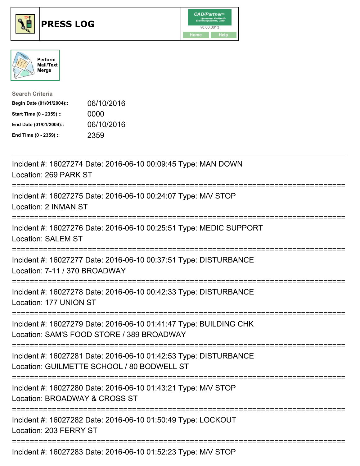





| <b>Search Criteria</b>    |            |
|---------------------------|------------|
| Begin Date (01/01/2004):: | 06/10/2016 |
| Start Time (0 - 2359) ::  | 0000       |
| End Date (01/01/2004)::   | 06/10/2016 |
| End Time (0 - 2359) ::    | 2359       |

| Incident #: 16027274 Date: 2016-06-10 00:09:45 Type: MAN DOWN<br>Location: 269 PARK ST                                                          |
|-------------------------------------------------------------------------------------------------------------------------------------------------|
| Incident #: 16027275 Date: 2016-06-10 00:24:07 Type: M/V STOP<br>Location: 2 INMAN ST                                                           |
| Incident #: 16027276 Date: 2016-06-10 00:25:51 Type: MEDIC SUPPORT<br><b>Location: SALEM ST</b><br>------------------                           |
| Incident #: 16027277 Date: 2016-06-10 00:37:51 Type: DISTURBANCE<br>Location: 7-11 / 370 BROADWAY<br>-----------                                |
| Incident #: 16027278 Date: 2016-06-10 00:42:33 Type: DISTURBANCE<br>Location: 177 UNION ST                                                      |
| Incident #: 16027279 Date: 2016-06-10 01:41:47 Type: BUILDING CHK<br>Location: SAM'S FOOD STORE / 389 BROADWAY                                  |
| Incident #: 16027281 Date: 2016-06-10 01:42:53 Type: DISTURBANCE<br>Location: GUILMETTE SCHOOL / 80 BODWELL ST                                  |
| Incident #: 16027280 Date: 2016-06-10 01:43:21 Type: M/V STOP<br>Location: BROADWAY & CROSS ST<br>;===========================<br>------------- |
| Incident #: 16027282 Date: 2016-06-10 01:50:49 Type: LOCKOUT<br>Location: 203 FERRY ST                                                          |
| Incident #: 16027283 Date: 2016-06-10 01:52:23 Type: M/V STOP                                                                                   |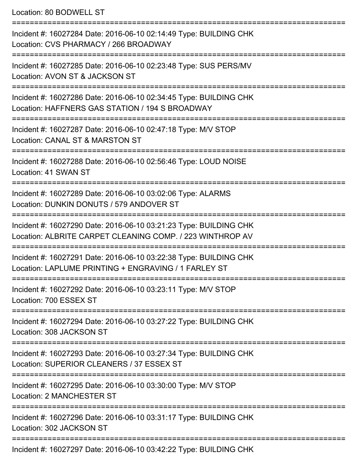Location: 80 BODWELL ST =========================================================================== Incident #: 16027284 Date: 2016-06-10 02:14:49 Type: BUILDING CHK Location: CVS PHARMACY / 266 BROADWAY =========================================================================== Incident #: 16027285 Date: 2016-06-10 02:23:48 Type: SUS PERS/MV Location: AVON ST & JACKSON ST =========================================================================== Incident #: 16027286 Date: 2016-06-10 02:34:45 Type: BUILDING CHK Location: HAFFNERS GAS STATION / 194 S BROADWAY =========================================================================== Incident #: 16027287 Date: 2016-06-10 02:47:18 Type: M/V STOP Location: CANAL ST & MARSTON ST =========================================================================== Incident #: 16027288 Date: 2016-06-10 02:56:46 Type: LOUD NOISE Location: 41 SWAN ST =========================================================================== Incident #: 16027289 Date: 2016-06-10 03:02:06 Type: ALARMS Location: DUNKIN DONUTS / 579 ANDOVER ST =========================================================================== Incident #: 16027290 Date: 2016-06-10 03:21:23 Type: BUILDING CHK Location: ALBRITE CARPET CLEANING COMP. / 223 WINTHROP AV =========================================================================== Incident #: 16027291 Date: 2016-06-10 03:22:38 Type: BUILDING CHK Location: LAPLUME PRINTING + ENGRAVING / 1 FARLEY ST =========================================================================== Incident #: 16027292 Date: 2016-06-10 03:23:11 Type: M/V STOP Location: 700 ESSEX ST =========================================================================== Incident #: 16027294 Date: 2016-06-10 03:27:22 Type: BUILDING CHK Location: 308 JACKSON ST =========================================================================== Incident #: 16027293 Date: 2016-06-10 03:27:34 Type: BUILDING CHK Location: SUPERIOR CLEANERS / 37 ESSEX ST =========================================================================== Incident #: 16027295 Date: 2016-06-10 03:30:00 Type: M/V STOP Location: 2 MANCHESTER ST =========================================================================== Incident #: 16027296 Date: 2016-06-10 03:31:17 Type: BUILDING CHK Location: 302 JACKSON ST ===========================================================================

Incident #: 16027297 Date: 2016-06-10 03:42:22 Type: BUILDING CHK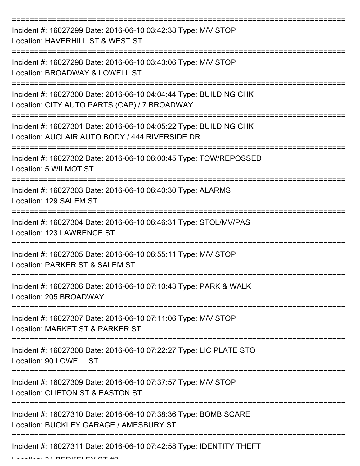| Incident #: 16027299 Date: 2016-06-10 03:42:38 Type: M/V STOP<br>Location: HAVERHILL ST & WEST ST                   |
|---------------------------------------------------------------------------------------------------------------------|
| Incident #: 16027298 Date: 2016-06-10 03:43:06 Type: M/V STOP<br>Location: BROADWAY & LOWELL ST                     |
| Incident #: 16027300 Date: 2016-06-10 04:04:44 Type: BUILDING CHK<br>Location: CITY AUTO PARTS (CAP) / 7 BROADWAY   |
| Incident #: 16027301 Date: 2016-06-10 04:05:22 Type: BUILDING CHK<br>Location: AUCLAIR AUTO BODY / 444 RIVERSIDE DR |
| Incident #: 16027302 Date: 2016-06-10 06:00:45 Type: TOW/REPOSSED<br>Location: 5 WILMOT ST                          |
| Incident #: 16027303 Date: 2016-06-10 06:40:30 Type: ALARMS<br>Location: 129 SALEM ST                               |
| Incident #: 16027304 Date: 2016-06-10 06:46:31 Type: STOL/MV/PAS<br>Location: 123 LAWRENCE ST                       |
| Incident #: 16027305 Date: 2016-06-10 06:55:11 Type: M/V STOP<br>Location: PARKER ST & SALEM ST                     |
| Incident #: 16027306 Date: 2016-06-10 07:10:43 Type: PARK & WALK<br>Location: 205 BROADWAY                          |
| Incident #: 16027307 Date: 2016-06-10 07:11:06 Type: M/V STOP<br>Location: MARKET ST & PARKER ST                    |
| Incident #: 16027308 Date: 2016-06-10 07:22:27 Type: LIC PLATE STO<br>Location: 90 LOWELL ST                        |
| Incident #: 16027309 Date: 2016-06-10 07:37:57 Type: M/V STOP<br>Location: CLIFTON ST & EASTON ST                   |
| Incident #: 16027310 Date: 2016-06-10 07:38:36 Type: BOMB SCARE<br>Location: BUCKLEY GARAGE / AMESBURY ST           |
| Incident #: 16027311 Date: 2016-06-10 07:42:58 Type: IDENTITY THEFT                                                 |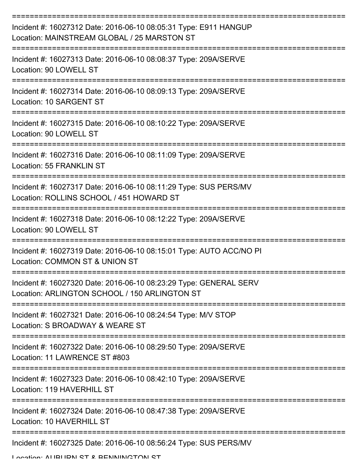| Incident #: 16027312 Date: 2016-06-10 08:05:31 Type: E911 HANGUP<br>Location: MAINSTREAM GLOBAL / 25 MARSTON ST    |
|--------------------------------------------------------------------------------------------------------------------|
| Incident #: 16027313 Date: 2016-06-10 08:08:37 Type: 209A/SERVE<br>Location: 90 LOWELL ST                          |
| Incident #: 16027314 Date: 2016-06-10 08:09:13 Type: 209A/SERVE<br>Location: 10 SARGENT ST                         |
| Incident #: 16027315 Date: 2016-06-10 08:10:22 Type: 209A/SERVE<br>Location: 90 LOWELL ST                          |
| Incident #: 16027316 Date: 2016-06-10 08:11:09 Type: 209A/SERVE<br><b>Location: 55 FRANKLIN ST</b>                 |
| Incident #: 16027317 Date: 2016-06-10 08:11:29 Type: SUS PERS/MV<br>Location: ROLLINS SCHOOL / 451 HOWARD ST       |
| Incident #: 16027318 Date: 2016-06-10 08:12:22 Type: 209A/SERVE<br>Location: 90 LOWELL ST                          |
| Incident #: 16027319 Date: 2016-06-10 08:15:01 Type: AUTO ACC/NO PI<br>Location: COMMON ST & UNION ST              |
| Incident #: 16027320 Date: 2016-06-10 08:23:29 Type: GENERAL SERV<br>Location: ARLINGTON SCHOOL / 150 ARLINGTON ST |
| Incident #: 16027321 Date: 2016-06-10 08:24:54 Type: M/V STOP<br>Location: S BROADWAY & WEARE ST                   |
| Incident #: 16027322 Date: 2016-06-10 08:29:50 Type: 209A/SERVE<br>Location: 11 LAWRENCE ST #803                   |
| Incident #: 16027323 Date: 2016-06-10 08:42:10 Type: 209A/SERVE<br>Location: 119 HAVERHILL ST                      |
| Incident #: 16027324 Date: 2016-06-10 08:47:38 Type: 209A/SERVE<br>Location: 10 HAVERHILL ST                       |
| Incident #: 16027325 Date: 2016-06-10 08:56:24 Type: SUS PERS/MV                                                   |

Location: ALIBURN ST & BENNINGTON ST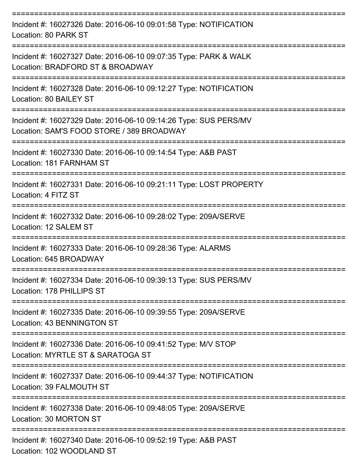| Incident #: 16027326 Date: 2016-06-10 09:01:58 Type: NOTIFICATION<br>Location: 80 PARK ST                     |
|---------------------------------------------------------------------------------------------------------------|
| Incident #: 16027327 Date: 2016-06-10 09:07:35 Type: PARK & WALK<br>Location: BRADFORD ST & BROADWAY          |
| Incident #: 16027328 Date: 2016-06-10 09:12:27 Type: NOTIFICATION<br>Location: 80 BAILEY ST                   |
| Incident #: 16027329 Date: 2016-06-10 09:14:26 Type: SUS PERS/MV<br>Location: SAM'S FOOD STORE / 389 BROADWAY |
| Incident #: 16027330 Date: 2016-06-10 09:14:54 Type: A&B PAST<br>Location: 181 FARNHAM ST                     |
| Incident #: 16027331 Date: 2016-06-10 09:21:11 Type: LOST PROPERTY<br>Location: 4 FITZ ST                     |
| Incident #: 16027332 Date: 2016-06-10 09:28:02 Type: 209A/SERVE<br>Location: 12 SALEM ST                      |
| Incident #: 16027333 Date: 2016-06-10 09:28:36 Type: ALARMS<br>Location: 645 BROADWAY                         |
| Incident #: 16027334 Date: 2016-06-10 09:39:13 Type: SUS PERS/MV<br>Location: 178 PHILLIPS ST                 |
| Incident #: 16027335 Date: 2016-06-10 09:39:55 Type: 209A/SERVE<br>Location: 43 BENNINGTON ST                 |
| Incident #: 16027336 Date: 2016-06-10 09:41:52 Type: M/V STOP<br>Location: MYRTLE ST & SARATOGA ST            |
| Incident #: 16027337 Date: 2016-06-10 09:44:37 Type: NOTIFICATION<br>Location: 39 FALMOUTH ST                 |
| Incident #: 16027338 Date: 2016-06-10 09:48:05 Type: 209A/SERVE<br>Location: 30 MORTON ST                     |
| Incident #: 16027340 Date: 2016-06-10 09:52:19 Type: A&B PAST<br>Location: 102 WOODLAND ST                    |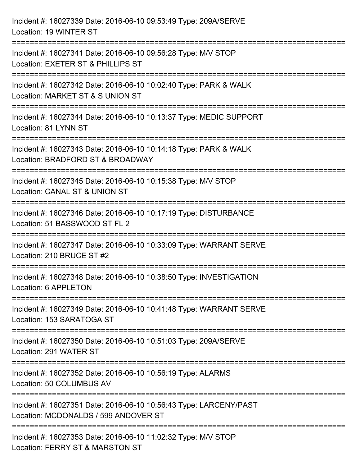| Incident #: 16027339 Date: 2016-06-10 09:53:49 Type: 209A/SERVE<br>Location: 19 WINTER ST                                                   |
|---------------------------------------------------------------------------------------------------------------------------------------------|
| Incident #: 16027341 Date: 2016-06-10 09:56:28 Type: M/V STOP<br>Location: EXETER ST & PHILLIPS ST                                          |
| Incident #: 16027342 Date: 2016-06-10 10:02:40 Type: PARK & WALK<br>Location: MARKET ST & S UNION ST<br>:=================                  |
| Incident #: 16027344 Date: 2016-06-10 10:13:37 Type: MEDIC SUPPORT<br>Location: 81 LYNN ST<br>----------------------------------            |
| Incident #: 16027343 Date: 2016-06-10 10:14:18 Type: PARK & WALK<br>Location: BRADFORD ST & BROADWAY                                        |
| Incident #: 16027345 Date: 2016-06-10 10:15:38 Type: M/V STOP<br>Location: CANAL ST & UNION ST                                              |
| :=====================================<br>Incident #: 16027346 Date: 2016-06-10 10:17:19 Type: DISTURBANCE<br>Location: 51 BASSWOOD ST FL 2 |
| Incident #: 16027347 Date: 2016-06-10 10:33:09 Type: WARRANT SERVE<br>Location: 210 BRUCE ST #2                                             |
| Incident #: 16027348 Date: 2016-06-10 10:38:50 Type: INVESTIGATION<br>Location: 6 APPLETON                                                  |
| Incident #: 16027349 Date: 2016-06-10 10:41:48 Type: WARRANT SERVE<br>Location: 153 SARATOGA ST                                             |
| Incident #: 16027350 Date: 2016-06-10 10:51:03 Type: 209A/SERVE<br>Location: 291 WATER ST                                                   |
| Incident #: 16027352 Date: 2016-06-10 10:56:19 Type: ALARMS<br>Location: 50 COLUMBUS AV                                                     |
| Incident #: 16027351 Date: 2016-06-10 10:56:43 Type: LARCENY/PAST<br>Location: MCDONALDS / 599 ANDOVER ST                                   |
| Incident #: 16027353 Date: 2016-06-10 11:02:32 Type: M/V STOP<br>Location: FERRY ST & MARSTON ST                                            |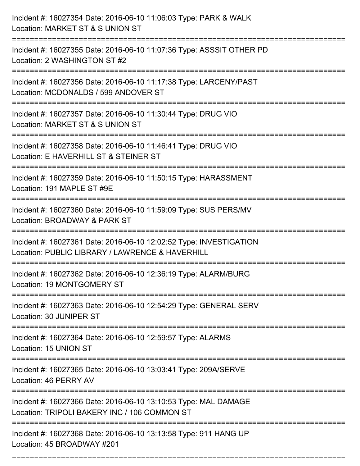| Incident #: 16027354 Date: 2016-06-10 11:06:03 Type: PARK & WALK<br>Location: MARKET ST & S UNION ST                                 |
|--------------------------------------------------------------------------------------------------------------------------------------|
| Incident #: 16027355 Date: 2016-06-10 11:07:36 Type: ASSSIT OTHER PD<br>Location: 2 WASHINGTON ST #2                                 |
| Incident #: 16027356 Date: 2016-06-10 11:17:38 Type: LARCENY/PAST<br>Location: MCDONALDS / 599 ANDOVER ST<br>======================= |
| Incident #: 16027357 Date: 2016-06-10 11:30:44 Type: DRUG VIO<br>Location: MARKET ST & S UNION ST                                    |
| Incident #: 16027358 Date: 2016-06-10 11:46:41 Type: DRUG VIO<br>Location: E HAVERHILL ST & STEINER ST                               |
| Incident #: 16027359 Date: 2016-06-10 11:50:15 Type: HARASSMENT<br>Location: 191 MAPLE ST #9E                                        |
| Incident #: 16027360 Date: 2016-06-10 11:59:09 Type: SUS PERS/MV<br>Location: BROADWAY & PARK ST                                     |
| Incident #: 16027361 Date: 2016-06-10 12:02:52 Type: INVESTIGATION<br>Location: PUBLIC LIBRARY / LAWRENCE & HAVERHILL                |
| Incident #: 16027362 Date: 2016-06-10 12:36:19 Type: ALARM/BURG<br>Location: 19 MONTGOMERY ST                                        |
| Incident #: 16027363 Date: 2016-06-10 12:54:29 Type: GENERAL SERV<br>Location: 30 JUNIPER ST                                         |
| Incident #: 16027364 Date: 2016-06-10 12:59:57 Type: ALARMS<br>Location: 15 UNION ST                                                 |
| Incident #: 16027365 Date: 2016-06-10 13:03:41 Type: 209A/SERVE<br>Location: 46 PERRY AV                                             |
| Incident #: 16027366 Date: 2016-06-10 13:10:53 Type: MAL DAMAGE<br>Location: TRIPOLI BAKERY INC / 106 COMMON ST                      |
| Incident #: 16027368 Date: 2016-06-10 13:13:58 Type: 911 HANG UP<br>Location: 45 BROADWAY #201                                       |

===========================================================================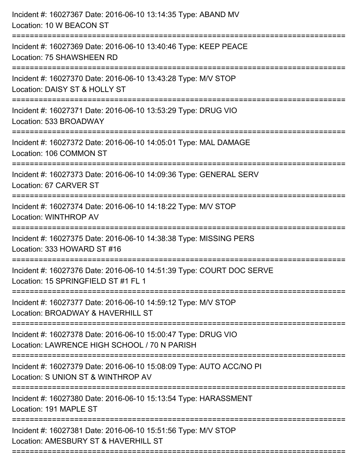| Incident #: 16027367 Date: 2016-06-10 13:14:35 Type: ABAND MV<br>Location: 10 W BEACON ST                                            |
|--------------------------------------------------------------------------------------------------------------------------------------|
| ;===================================<br>Incident #: 16027369 Date: 2016-06-10 13:40:46 Type: KEEP PEACE<br>Location: 75 SHAWSHEEN RD |
| Incident #: 16027370 Date: 2016-06-10 13:43:28 Type: M/V STOP<br>Location: DAISY ST & HOLLY ST                                       |
| Incident #: 16027371 Date: 2016-06-10 13:53:29 Type: DRUG VIO<br>Location: 533 BROADWAY                                              |
| Incident #: 16027372 Date: 2016-06-10 14:05:01 Type: MAL DAMAGE<br>Location: 106 COMMON ST                                           |
| Incident #: 16027373 Date: 2016-06-10 14:09:36 Type: GENERAL SERV<br>Location: 67 CARVER ST<br>:==================================   |
| Incident #: 16027374 Date: 2016-06-10 14:18:22 Type: M/V STOP<br>Location: WINTHROP AV                                               |
| Incident #: 16027375 Date: 2016-06-10 14:38:38 Type: MISSING PERS<br>Location: 333 HOWARD ST #16                                     |
| Incident #: 16027376 Date: 2016-06-10 14:51:39 Type: COURT DOC SERVE<br>Location: 15 SPRINGFIELD ST #1 FL 1                          |
| Incident #: 16027377 Date: 2016-06-10 14:59:12 Type: M/V STOP<br>Location: BROADWAY & HAVERHILL ST                                   |
| Incident #: 16027378 Date: 2016-06-10 15:00:47 Type: DRUG VIO<br>Location: LAWRENCE HIGH SCHOOL / 70 N PARISH                        |
| Incident #: 16027379 Date: 2016-06-10 15:08:09 Type: AUTO ACC/NO PI<br>Location: S UNION ST & WINTHROP AV                            |
| Incident #: 16027380 Date: 2016-06-10 15:13:54 Type: HARASSMENT<br>Location: 191 MAPLE ST                                            |
| Incident #: 16027381 Date: 2016-06-10 15:51:56 Type: M/V STOP<br>Location: AMESBURY ST & HAVERHILL ST                                |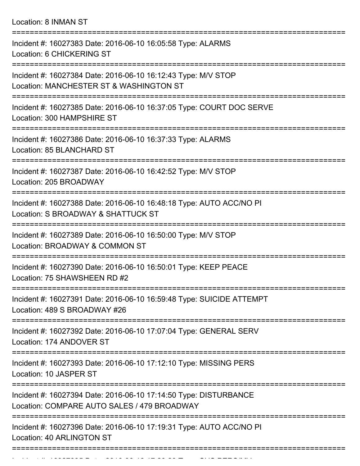Location: 8 INMAN ST

| Incident #: 16027383 Date: 2016-06-10 16:05:58 Type: ALARMS<br>Location: 6 CHICKERING ST                        |
|-----------------------------------------------------------------------------------------------------------------|
| Incident #: 16027384 Date: 2016-06-10 16:12:43 Type: M/V STOP<br>Location: MANCHESTER ST & WASHINGTON ST        |
| Incident #: 16027385 Date: 2016-06-10 16:37:05 Type: COURT DOC SERVE<br>Location: 300 HAMPSHIRE ST              |
| Incident #: 16027386 Date: 2016-06-10 16:37:33 Type: ALARMS<br>Location: 85 BLANCHARD ST                        |
| Incident #: 16027387 Date: 2016-06-10 16:42:52 Type: M/V STOP<br>Location: 205 BROADWAY                         |
| Incident #: 16027388 Date: 2016-06-10 16:48:18 Type: AUTO ACC/NO PI<br>Location: S BROADWAY & SHATTUCK ST       |
| Incident #: 16027389 Date: 2016-06-10 16:50:00 Type: M/V STOP<br>Location: BROADWAY & COMMON ST                 |
| Incident #: 16027390 Date: 2016-06-10 16:50:01 Type: KEEP PEACE<br>Location: 75 SHAWSHEEN RD #2                 |
| Incident #: 16027391 Date: 2016-06-10 16:59:48 Type: SUICIDE ATTEMPT<br>Location: 489 S BROADWAY #26            |
| Incident #: 16027392 Date: 2016-06-10 17:07:04 Type: GENERAL SERV<br>Location: 174 ANDOVER ST                   |
| Incident #: 16027393 Date: 2016-06-10 17:12:10 Type: MISSING PERS<br>Location: 10 JASPER ST                     |
| Incident #: 16027394 Date: 2016-06-10 17:14:50 Type: DISTURBANCE<br>Location: COMPARE AUTO SALES / 479 BROADWAY |
| Incident #: 16027396 Date: 2016-06-10 17:19:31 Type: AUTO ACC/NO PI<br>Location: 40 ARLINGTON ST                |
|                                                                                                                 |

Incident #: 16027395 Date: 2016 06 10 17:20:23 Type: SUS PERS/MV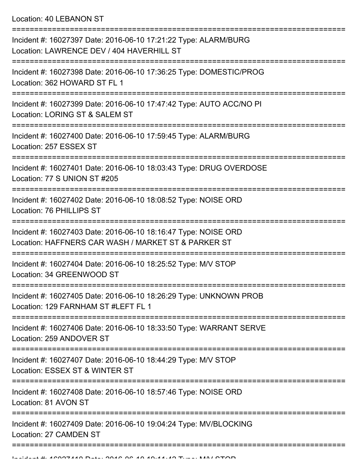Location: 40 LEBANON ST

| Incident #: 16027397 Date: 2016-06-10 17:21:22 Type: ALARM/BURG<br>Location: LAWRENCE DEV / 404 HAVERHILL ST          |
|-----------------------------------------------------------------------------------------------------------------------|
| Incident #: 16027398 Date: 2016-06-10 17:36:25 Type: DOMESTIC/PROG<br>Location: 362 HOWARD ST FL 1                    |
| Incident #: 16027399 Date: 2016-06-10 17:47:42 Type: AUTO ACC/NO PI<br>Location: LORING ST & SALEM ST                 |
| Incident #: 16027400 Date: 2016-06-10 17:59:45 Type: ALARM/BURG<br>Location: 257 ESSEX ST<br>----------------         |
| Incident #: 16027401 Date: 2016-06-10 18:03:43 Type: DRUG OVERDOSE<br>Location: 77 S UNION ST #205                    |
| Incident #: 16027402 Date: 2016-06-10 18:08:52 Type: NOISE ORD<br>Location: 76 PHILLIPS ST                            |
| Incident #: 16027403 Date: 2016-06-10 18:16:47 Type: NOISE ORD<br>Location: HAFFNERS CAR WASH / MARKET ST & PARKER ST |
| Incident #: 16027404 Date: 2016-06-10 18:25:52 Type: M/V STOP<br>Location: 34 GREENWOOD ST                            |
| Incident #: 16027405 Date: 2016-06-10 18:26:29 Type: UNKNOWN PROB<br>Location: 129 FARNHAM ST #LEFT FL 1              |
| Incident #: 16027406 Date: 2016-06-10 18:33:50 Type: WARRANT SERVE<br>Location: 259 ANDOVER ST                        |
| Incident #: 16027407 Date: 2016-06-10 18:44:29 Type: M/V STOP<br>Location: ESSEX ST & WINTER ST                       |
| Incident #: 16027408 Date: 2016-06-10 18:57:46 Type: NOISE ORD<br>Location: 81 AVON ST                                |
| Incident #: 16027409 Date: 2016-06-10 19:04:24 Type: MV/BLOCKING<br>Location: 27 CAMDEN ST                            |
|                                                                                                                       |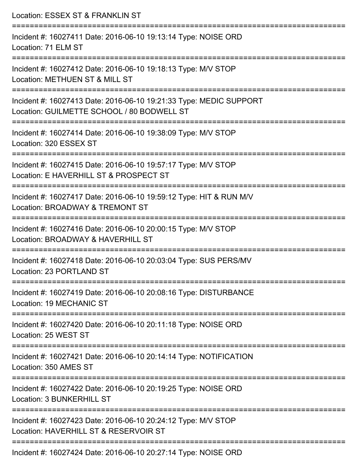| Location: ESSEX ST & FRANKLIN ST                                                                                                |
|---------------------------------------------------------------------------------------------------------------------------------|
| Incident #: 16027411 Date: 2016-06-10 19:13:14 Type: NOISE ORD<br>Location: 71 ELM ST                                           |
| Incident #: 16027412 Date: 2016-06-10 19:18:13 Type: M/V STOP<br>Location: METHUEN ST & MILL ST                                 |
| Incident #: 16027413 Date: 2016-06-10 19:21:33 Type: MEDIC SUPPORT<br>Location: GUILMETTE SCHOOL / 80 BODWELL ST                |
| :=================================<br>Incident #: 16027414 Date: 2016-06-10 19:38:09 Type: M/V STOP<br>Location: 320 ESSEX ST   |
| Incident #: 16027415 Date: 2016-06-10 19:57:17 Type: M/V STOP<br>Location: E HAVERHILL ST & PROSPECT ST                         |
| ======================<br>Incident #: 16027417 Date: 2016-06-10 19:59:12 Type: HIT & RUN M/V<br>Location: BROADWAY & TREMONT ST |
| Incident #: 16027416 Date: 2016-06-10 20:00:15 Type: M/V STOP<br>Location: BROADWAY & HAVERHILL ST                              |
| Incident #: 16027418 Date: 2016-06-10 20:03:04 Type: SUS PERS/MV<br>Location: 23 PORTLAND ST                                    |
| Incident #: 16027419 Date: 2016-06-10 20:08:16 Type: DISTURBANCE<br>Location: 19 MECHANIC ST                                    |
| Incident #: 16027420 Date: 2016-06-10 20:11:18 Type: NOISE ORD<br>Location: 25 WEST ST                                          |
| -----------------------------<br>Incident #: 16027421 Date: 2016-06-10 20:14:14 Type: NOTIFICATION<br>Location: 350 AMES ST     |
| :======================<br>Incident #: 16027422 Date: 2016-06-10 20:19:25 Type: NOISE ORD<br><b>Location: 3 BUNKERHILL ST</b>   |
| Incident #: 16027423 Date: 2016-06-10 20:24:12 Type: M/V STOP<br>Location: HAVERHILL ST & RESERVOIR ST                          |
|                                                                                                                                 |

Incident #: 16027424 Date: 2016-06-10 20:27:14 Type: NOISE ORD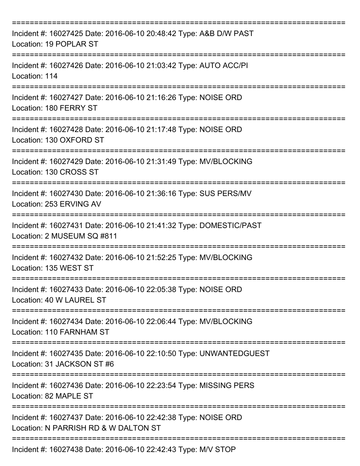| Incident #: 16027425 Date: 2016-06-10 20:48:42 Type: A&B D/W PAST<br>Location: 19 POPLAR ST            |
|--------------------------------------------------------------------------------------------------------|
| Incident #: 16027426 Date: 2016-06-10 21:03:42 Type: AUTO ACC/PI<br>Location: 114                      |
| Incident #: 16027427 Date: 2016-06-10 21:16:26 Type: NOISE ORD<br>Location: 180 FERRY ST               |
| Incident #: 16027428 Date: 2016-06-10 21:17:48 Type: NOISE ORD<br>Location: 130 OXFORD ST              |
| Incident #: 16027429 Date: 2016-06-10 21:31:49 Type: MV/BLOCKING<br>Location: 130 CROSS ST             |
| Incident #: 16027430 Date: 2016-06-10 21:36:16 Type: SUS PERS/MV<br>Location: 253 ERVING AV            |
| Incident #: 16027431 Date: 2016-06-10 21:41:32 Type: DOMESTIC/PAST<br>Location: 2 MUSEUM SQ #811       |
| Incident #: 16027432 Date: 2016-06-10 21:52:25 Type: MV/BLOCKING<br>Location: 135 WEST ST              |
| Incident #: 16027433 Date: 2016-06-10 22:05:38 Type: NOISE ORD<br>Location: 40 W LAUREL ST             |
| Incident #: 16027434 Date: 2016-06-10 22:06:44 Type: MV/BLOCKING<br>Location: 110 FARNHAM ST           |
| Incident #: 16027435 Date: 2016-06-10 22:10:50 Type: UNWANTEDGUEST<br>Location: 31 JACKSON ST #6       |
| Incident #: 16027436 Date: 2016-06-10 22:23:54 Type: MISSING PERS<br>Location: 82 MAPLE ST             |
| Incident #: 16027437 Date: 2016-06-10 22:42:38 Type: NOISE ORD<br>Location: N PARRISH RD & W DALTON ST |
| Incident #: 16027438 Date: 2016-06-10 22:42:43 Type: M/V STOP                                          |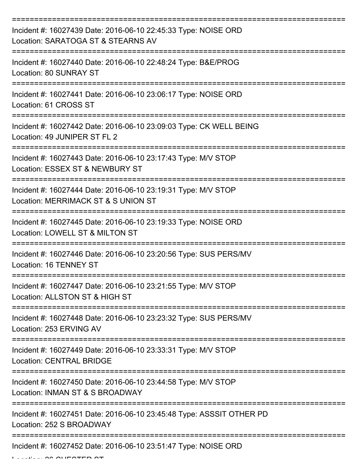| Incident #: 16027439 Date: 2016-06-10 22:45:33 Type: NOISE ORD<br>Location: SARATOGA ST & STEARNS AV        |
|-------------------------------------------------------------------------------------------------------------|
| Incident #: 16027440 Date: 2016-06-10 22:48:24 Type: B&E/PROG<br>Location: 80 SUNRAY ST                     |
| Incident #: 16027441 Date: 2016-06-10 23:06:17 Type: NOISE ORD<br>Location: 61 CROSS ST                     |
| Incident #: 16027442 Date: 2016-06-10 23:09:03 Type: CK WELL BEING<br>Location: 49 JUNIPER ST FL 2          |
| Incident #: 16027443 Date: 2016-06-10 23:17:43 Type: M/V STOP<br>Location: ESSEX ST & NEWBURY ST            |
| Incident #: 16027444 Date: 2016-06-10 23:19:31 Type: M/V STOP<br>Location: MERRIMACK ST & S UNION ST        |
| Incident #: 16027445 Date: 2016-06-10 23:19:33 Type: NOISE ORD<br>Location: LOWELL ST & MILTON ST           |
| Incident #: 16027446 Date: 2016-06-10 23:20:56 Type: SUS PERS/MV<br>Location: 16 TENNEY ST                  |
| Incident #: 16027447 Date: 2016-06-10 23:21:55 Type: M/V STOP<br>Location: ALLSTON ST & HIGH ST             |
| ============<br>Incident #: 16027448 Date: 2016-06-10 23:23:32 Type: SUS PERS/MV<br>Location: 253 ERVING AV |
| Incident #: 16027449 Date: 2016-06-10 23:33:31 Type: M/V STOP<br><b>Location: CENTRAL BRIDGE</b>            |
| Incident #: 16027450 Date: 2016-06-10 23:44:58 Type: M/V STOP<br>Location: INMAN ST & S BROADWAY            |
| Incident #: 16027451 Date: 2016-06-10 23:45:48 Type: ASSSIT OTHER PD<br>Location: 252 S BROADWAY            |
| Incident #: 16027452 Date: 2016-06-10 23:51:47 Type: NOISE ORD                                              |